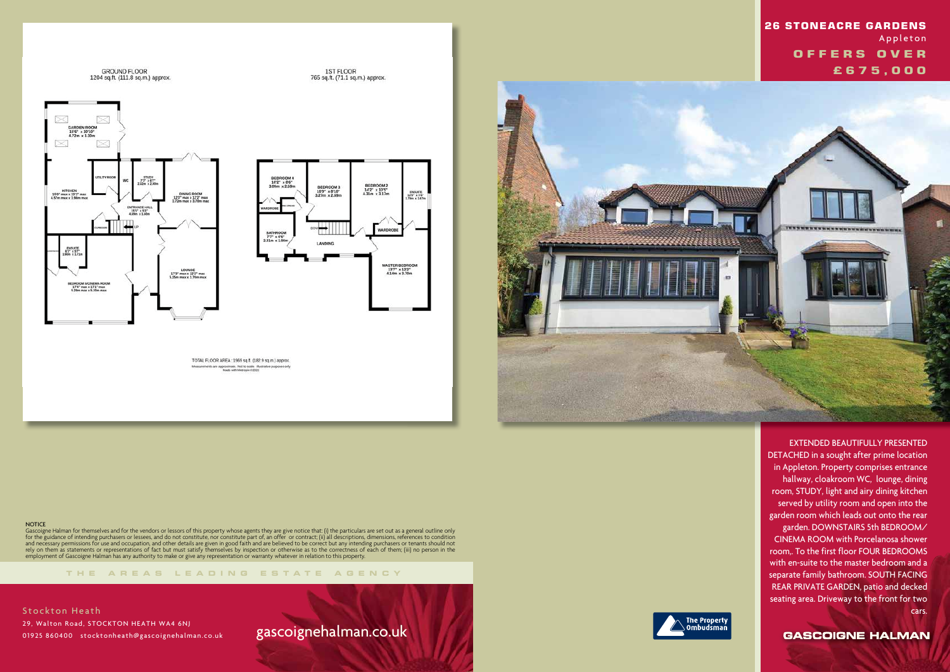GROUND FLOOR<br>1204 sq.ft. (111.8 sq.m.) approx.





1ST FLOOR<br>765 sq.ft. (71.1 sq.m.) approx.

TOTAL FLOOR AREA : 1969 sq.ft. (182.9 sq.m.) approx. ments are approximate. Not to scale. Illustrative



#### **NOTICE**

**THE AREA S LEADING ES T A TE A G E N C Y**

Gascoigne Halman for themselves and for the vendors or lessors of this property whose agents they are give notice that: (i) the particulars are set out as a general outline only for the guidance of intending purchasers or lessees, and do not constitute, nor constitute part of, an offer or contract; (ii) all descriptions, dimensions, references to condition and necessary permissions for use and occupation, and other details are given in good faith and are believed to be correct but any intending purchasers or tenants should not rely on them as statements or representations of fact but must satisfy themselves by inspection or otherwise as to the correctness of each of them; (iii) no person in the employment of Gascoigne Halman has any authority to make or give any representation or warranty whatever in relation to this property.

**Stockton Heath**  29, Walton Road, STOCKTON HEATH WA4 6NJ 01925 860400 stocktonheath@gascoignehalman.co.uk

# gascoignehalman.co.uk



 EXTENDED BEAUTIFULLY PRESENTED DETACHED in a sought after prime location in Appleton. Property comprises entrance hallway, cloakroom WC, lounge, dining room, STUDY, light and airy dining kitchen served by utility room and open into the garden room which leads out onto the rear garden. DOWNSTAIRS 5th BEDROOM/ CINEMA ROOM with Porcelanosa shower room,. To the first floor FOUR BEDROOMS with en-suite to the master bedroom and a separate family bathroom. SOUTH FACING REAR PRIVATE GARDEN, patio and decked seating area. Driveway to the front for two cars.

**GASCOIGNE HALMAN** 

## **26 STONEACRE GARDENS Appleton OFFERS OVER £ 6 7 5 , 0 0 0**